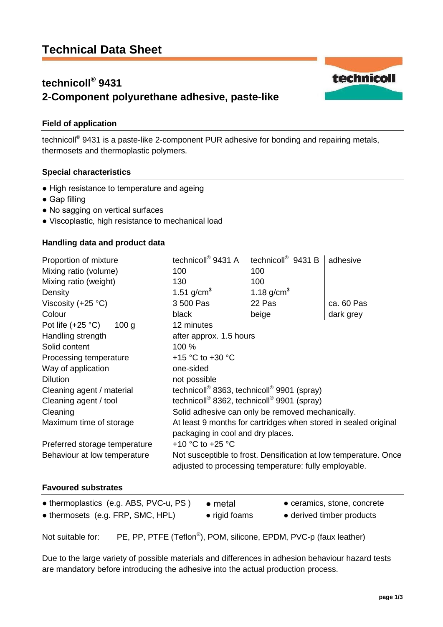# **Technical Data Sheet**

## **technicoll® 9431 2-Component polyurethane adhesive, paste-like**

## **Field of application**

technicoll<sup>®</sup> 9431 is a paste-like 2-component PUR adhesive for bonding and repairing metals, thermosets and thermoplastic polymers.

#### **Special characteristics**

- High resistance to temperature and ageing
- Gap filling
- No sagging on vertical surfaces
- Viscoplastic, high resistance to mechanical load

#### **Handling data and product data**

| Proportion of mixture                                                                    | technicoll <sup>®</sup> 9431 A                                                                                            | technicoll <sup>®</sup> 9431 B | adhesive   |  |
|------------------------------------------------------------------------------------------|---------------------------------------------------------------------------------------------------------------------------|--------------------------------|------------|--|
| Mixing ratio (volume)                                                                    | 100                                                                                                                       | 100                            |            |  |
| Mixing ratio (weight)                                                                    | 130                                                                                                                       | 100                            |            |  |
| Density                                                                                  | 1.51 $g/cm^3$                                                                                                             | 1.18 $g/cm^{3}$                |            |  |
| Viscosity $(+25 °C)$                                                                     | 3 500 Pas                                                                                                                 | 22 Pas                         | ca. 60 Pas |  |
| Colour                                                                                   | black                                                                                                                     | beige                          | dark grey  |  |
| Pot life $(+25 \degree C)$<br>100 <sub>g</sub>                                           | 12 minutes                                                                                                                |                                |            |  |
| Handling strength                                                                        | after approx. 1.5 hours                                                                                                   |                                |            |  |
| Solid content                                                                            | 100 %                                                                                                                     |                                |            |  |
| Processing temperature                                                                   | +15 $\degree$ C to +30 $\degree$ C                                                                                        |                                |            |  |
| Way of application                                                                       | one-sided                                                                                                                 |                                |            |  |
| <b>Dilution</b>                                                                          | not possible                                                                                                              |                                |            |  |
| Cleaning agent / material                                                                | technicoll <sup>®</sup> 8363, technicoll <sup>®</sup> 9901 (spray)                                                        |                                |            |  |
| Cleaning agent / tool                                                                    | technicoll <sup>®</sup> 8362, technicoll <sup>®</sup> 9901 (spray)                                                        |                                |            |  |
| Cleaning                                                                                 | Solid adhesive can only be removed mechanically.                                                                          |                                |            |  |
| Maximum time of storage                                                                  | At least 9 months for cartridges when stored in sealed original<br>packaging in cool and dry places.                      |                                |            |  |
| Preferred storage temperature                                                            | +10 $^{\circ}$ C to +25 $^{\circ}$ C                                                                                      |                                |            |  |
| Behaviour at low temperature                                                             | Not susceptible to frost. Densification at low temperature. Once<br>adjusted to processing temperature: fully employable. |                                |            |  |
| <b>Favoured substrates</b>                                                               |                                                                                                                           |                                |            |  |
| • thermoplastics (e.g. ABS, PVC-u, PS)<br>• ceramics, stone, concrete<br>$\bullet$ metal |                                                                                                                           |                                |            |  |

Not suitable for: PE, PP, PTFE (Teflon<sup>®</sup>), POM, silicone, EPDM, PVC-p (faux leather)

● thermosets (e.g. FRP, SMC, HPL) ● rigid foams ● derived timber products

Due to the large variety of possible materials and differences in adhesion behaviour hazard tests are mandatory before introducing the adhesive into the actual production process.

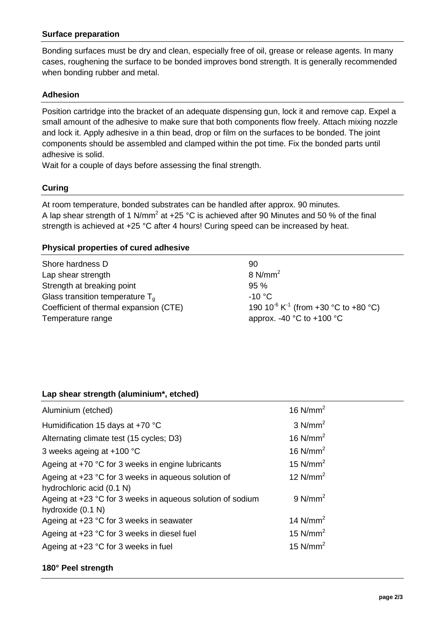## **Surface preparation**

Bonding surfaces must be dry and clean, especially free of oil, grease or release agents. In many cases, roughening the surface to be bonded improves bond strength. It is generally recommended when bonding rubber and metal.

## **Adhesion**

Position cartridge into the bracket of an adequate dispensing gun, lock it and remove cap. Expel a small amount of the adhesive to make sure that both components flow freely. Attach mixing nozzle and lock it. Apply adhesive in a thin bead, drop or film on the surfaces to be bonded. The joint components should be assembled and clamped within the pot time. Fix the bonded parts until adhesive is solid.

Wait for a couple of days before assessing the final strength.

## **Curing**

At room temperature, bonded substrates can be handled after approx. 90 minutes. A lap shear strength of 1 N/mm<sup>2</sup> at +25 °C is achieved after 90 Minutes and 50 % of the final strength is achieved at +25 °C after 4 hours! Curing speed can be increased by heat.

## **Physical properties of cured adhesive**

| Shore hardness D                       | 90                                                                               |
|----------------------------------------|----------------------------------------------------------------------------------|
| Lap shear strength                     | $8 \text{ N/mm}^2$                                                               |
| Strength at breaking point             | 95%                                                                              |
| Glass transition temperature $T_a$     | $-10 °C$                                                                         |
| Coefficient of thermal expansion (CTE) | 190 10 <sup>-6</sup> K <sup>-1</sup> (from +30 $^{\circ}$ C to +80 $^{\circ}$ C) |
| Temperature range                      | approx. -40 $^{\circ}$ C to +100 $^{\circ}$ C                                    |

## **Lap shear strength (aluminium\*, etched)**

| Aluminium (etched)                                                                                           | 16 $N/mm2$            |  |
|--------------------------------------------------------------------------------------------------------------|-----------------------|--|
| Humidification 15 days at +70 °C                                                                             | $3$ N/mm <sup>2</sup> |  |
| Alternating climate test (15 cycles; D3)                                                                     | 16 $N/mm2$            |  |
| 3 weeks ageing at +100 °C                                                                                    | 16 $N/mm2$            |  |
| Ageing at +70 °C for 3 weeks in engine lubricants                                                            | 15 $N/mm2$            |  |
| Ageing at +23 °C for 3 weeks in aqueous solution of                                                          | 12 $N/mm2$            |  |
| hydrochloric acid (0.1 N)<br>Ageing at +23 °C for 3 weeks in aqueous solution of sodium<br>hydroxide (0.1 N) | $9$ N/mm <sup>2</sup> |  |
| Ageing at $+23$ °C for 3 weeks in seawater                                                                   | 14 $N/mm2$            |  |
| Ageing at +23 °C for 3 weeks in diesel fuel                                                                  | 15 $N/mm2$            |  |
| Ageing at +23 °C for 3 weeks in fuel                                                                         | 15 $N/mm2$            |  |

## **180° Peel strength**